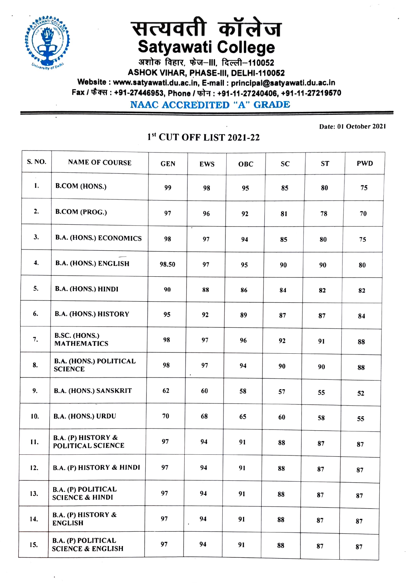

## सत्यवती कॉलेज<br>Satyawati College<br>अशोक विहार, फेज़-॥, दिल्ली-110052

ASHOK VIHAR, PHASE-II, DELHI-110062 Website : www.satyawati.du.ac.in, E-mail : principal@satyawati.du.ac.in Fax / फैक्स : +91-27446953, Phone / फोन : +91-11-27240406, +91-11-27219570

NAAC AcCREDITED "A" GRADE

S. NO. | NAME OF COURSE | GEN | EWS | OBC | SC | ST | PWD B.COM (HONS.) 99 98 95 85 80 75 I. 2. B.COM (PROG.) 97 96 92 81 78 70 3. B.A. (HONS.) ECONOMICS 98 97 94 85 80 75 98.50 97 95 90 90 80 4. B.A. (HONS.) ENGLISH 5. B.A. (HONS.) HINDI | 90 | 88 | 86 | 84 | 82 | 82 6. B.A. (HONS.) HISTORY | 95 | 92 | 89 | 87 | 87 | 84 7. B.SC.(HONS.)<br>MATHEMATICS 98 97 96 92 91 88 B.A. (HONS.) POLITICAL 8. SCIENCE 98 97 94 90 90 88 9. B.A. (HONS.) SANSKRIT | 62 | 60 | 58 | 57 | 55 | 52 10. B.A. (HONS.) URDU | 70 | 68 | 65 | 60 | 58 | 55 B.A. (P) HISTORY & 11. **POLITICAL SCIENCE** 97 94 91 88 87 87 12. B.A. (P) HISTORY & HINDI 97 94 91 88 87 87 B.A. (P) POLITICAL 13. SCIENCE & HINDI 97 94 94 88 87 87 87 B.A. (P) HISTORY & ENGLISH 97 94 91 88 87 87 14. B.A. (P) POLITICAL 15. SCIENCE & ENGLISH | 97 | 94 | 91 | 88 | 87 | 87

## 1st CUT OFF LIST 2021-22

Date: 01 October 2021